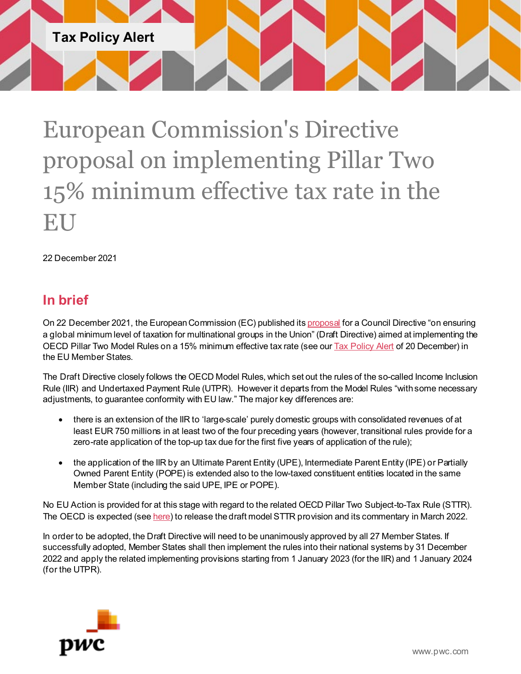

European Commission's Directive proposal on implementing Pillar Two 15% minimum effective tax rate in the EU

22 December 2021

# **In brief**

On 22 December 2021, the European Commission (EC) published it[s proposal](https://ec.europa.eu/taxation_customs/system/files/2021-12/COM_2021_823_1_EN_ACT_part1_v11.pdf) for a Council Directive "on ensuring a global minimum level of taxation for multinational groups in the Union" (Draft Directive) aimed at implementing the OECD Pillar Two Model Rules on a 15% minimum effective tax rate (see ou[r Tax Policy Alert](https://www.pwc.com/gx/en/tax/newsletters/tax-policy-bulletin/assets/pwc-oecd-releases-pillar-2-15-minimum-effective-tax-rate-model-rules.pdf) of 20 December) in the EU Member States.

The Draft Directive closely follows the OECD Model Rules, which set out the rules of the so-called Income Inclusion Rule (IIR) and Undertaxed Payment Rule (UTPR). However it departs from the Model Rules "with some necessary adjustments, to guarantee conformity with EU law." The major key differences are:

- there is an extension of the IIR to 'large-scale' purely domestic groups with consolidated revenues of at least EUR 750 millions in at least two of the four preceding years (however, transitional rules provide for a zero-rate application of the top-up tax due for the first five years of application of the rule);
- the application of the IIR by an Ultimate Parent Entity (UPE), Intermediate Parent Entity (IPE) or Partially Owned Parent Entity (POPE) is extended also to the low-taxed constituent entities located in the same Member State (including the said UPE, IPE or POPE).

No EU Action is provided for at this stage with regard to the related OECD Pillar Two Subject-to-Tax Rule (STTR). The OECD is expected (se[e here](https://www.oecd.org/tax/planned-stakeholder-input-in-oecd-tax-matters.htm)) to release the draft model STTR provision and its commentary in March 2022.

In order to be adopted, the Draft Directive will need to be unanimously approved by all 27 Member States. If successfully adopted, Member States shall then implement the rules into their national systems by 31 December 2022 and apply the related implementing provisions starting from 1 January 2023 (for the IIR) and 1 January 2024 (for the UTPR).

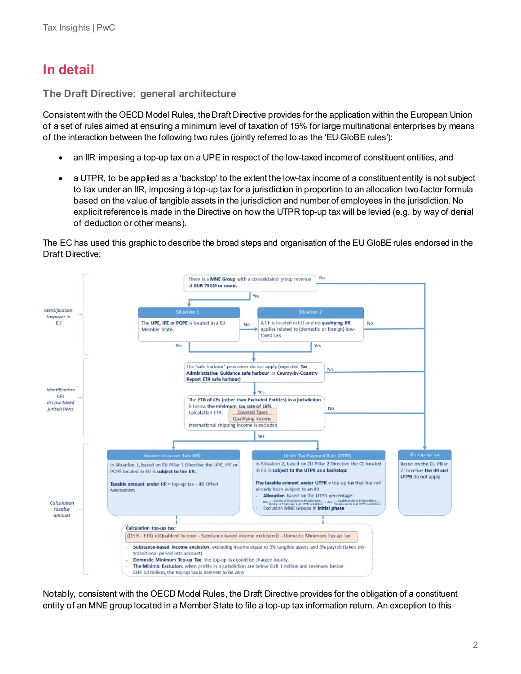# **In detail**

**The Draft Directive: general architecture**

Consistent with the OECD Model Rules, the Draft Directive provides for the application within the European Union of a set of rules aimed at ensuring a minimum level of taxation of 15% for large multinational enterprises by means of the interaction between the following two rules (jointly referred to as the 'EU GloBE rules'):

- an IIR imposing a top-up tax on a UPE in respect of the low-taxed income of constituent entities, and
- a UTPR, to be applied as a 'backstop' to the extent the low-tax income of a constituent entity is not subject to tax under an IIR, imposing a top-up tax for a jurisdiction in proportion to an allocation two-factor formula based on the value of tangible assets in the jurisdiction and number of employees in the jurisdiction. No explicit reference is made in the Directive on how the UTPR top-up tax will be levied (e.g. by way of denial of deduction or other means).

The EC has used this graphic to describe the broad steps and organisation of the EU GloBE rules endorsed in the Draft Directive:



Notably, consistent with the OECD Model Rules, the Draft Directive provides for the obligation of a constituent entity of an MNE group located in a Member State to file a top-up tax information return. An exception to this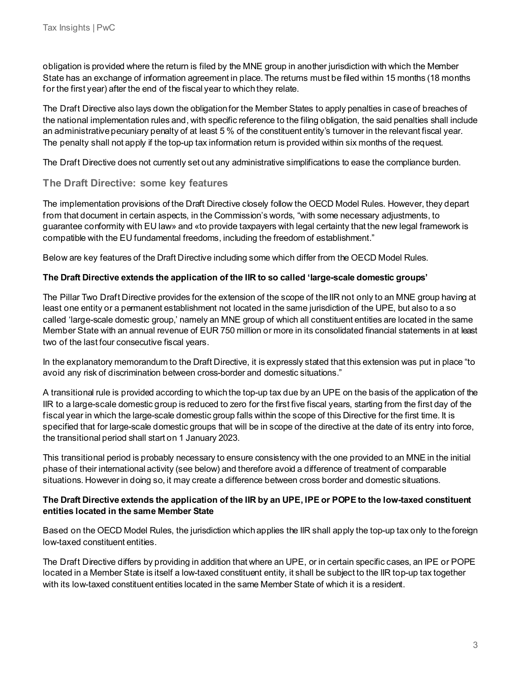obligation is provided where the return is filed by the MNE group in another jurisdiction with which the Member State has an exchange of information agreement in place. The returns must be filed within 15 months (18 months for the first year) after the end of the fiscal year to which they relate.

The Draft Directive also lays down the obligation for the Member States to apply penalties in case of breaches of the national implementation rules and, with specific reference to the filing obligation, the said penalties shall include an administrative pecuniary penalty of at least 5 % of the constituent entity's turnover in the relevant fiscal year. The penalty shall not apply if the top-up tax information return is provided within six months of the request.

The Draft Directive does not currently set out any administrative simplifications to ease the compliance burden.

## **The Draft Directive: some key features**

The implementation provisions of the Draft Directive closely follow the OECD Model Rules. However, they depart from that document in certain aspects, in the Commission's words, "with some necessary adjustments, to guarantee conformity with EU law» and «to provide taxpayers with legal certainty that the new legal framework is compatible with the EU fundamental freedoms, including the freedom of establishment."

Below are key features of the Draft Directive including some which differ from the OECD Model Rules.

#### **The Draft Directive extends the application of the IIR to so called 'large-scale domestic groups'**

The Pillar Two Draft Directive provides for the extension of the scope of the IIR not only to an MNE group having at least one entity or a permanent establishment not located in the same jurisdiction of the UPE, but also to a so called 'large-scale domestic group,' namely an MNE group of which all constituent entities are located in the same Member State with an annual revenue of EUR 750 million or more in its consolidated financial statements in at least two of the last four consecutive fiscal years.

In the explanatory memorandum to the Draft Directive, it is expressly stated that this extension was put in place "to avoid any risk of discrimination between cross-border and domestic situations."

A transitional rule is provided according to which the top-up tax due by an UPE on the basis of the application of the IIR to a large-scale domestic group is reduced to zero for the first five fiscal years, starting from the first day of the fiscal year in which the large-scale domestic group falls within the scope of this Directive for the first time. It is specified that for large-scale domestic groups that will be in scope of the directive at the date of its entry into force, the transitional period shall start on 1 January 2023.

This transitional period is probably necessary to ensure consistency with the one provided to an MNE in the initial phase of their international activity (see below) and therefore avoid a difference of treatment of comparable situations. However in doing so, it may create a difference between cross border and domestic situations.

#### **The Draft Directive extends the application of the IIR by an UPE, IPE or POPE to the low-taxed constituent entities located in the same Member State**

Based on the OECD Model Rules, the jurisdiction which applies the IIR shall apply the top-up tax only to the foreign low-taxed constituent entities.

The Draft Directive differs by providing in addition that where an UPE, or in certain specific cases, an IPE or POPE located in a Member State is itself a low-taxed constituent entity, it shall be subject to the IIR top-up tax together with its low-taxed constituent entities located in the same Member State of which it is a resident.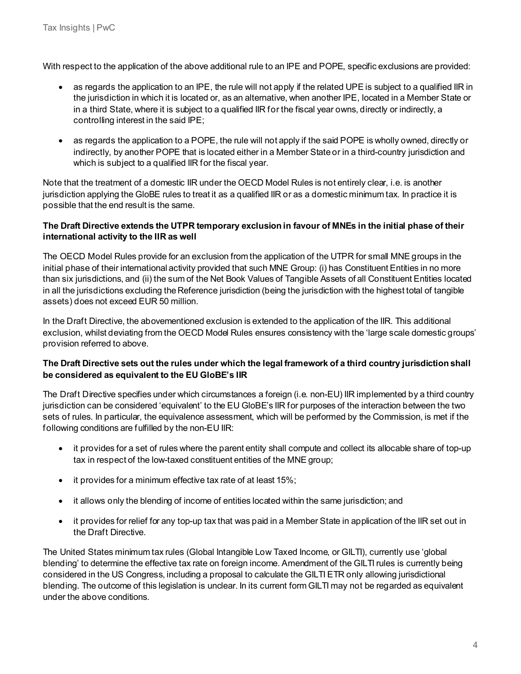With respect to the application of the above additional rule to an IPE and POPE, specific exclusions are provided:

- as regards the application to an IPE, the rule will not apply if the related UPE is subject to a qualified IIR in the jurisdiction in which it is located or, as an alternative, when another IPE, located in a Member State or in a third State, where it is subject to a qualified IIR for the fiscal year owns, directly or indirectly, a controlling interest in the said IPE;
- as regards the application to a POPE, the rule will not apply if the said POPE is wholly owned, directly or indirectly, by another POPE that is located either in a Member State or in a third-country jurisdiction and which is subject to a qualified IIR for the fiscal year.

Note that the treatment of a domestic IIR under the OECD Model Rules is not entirely clear, i.e. is another jurisdiction applying the GloBE rules to treat it as a qualified IIR or as a domestic minimum tax. In practice it is possible that the end result is the same.

## **The Draft Directive extends the UTPR temporary exclusion in favour of MNEs in the initial phase of their international activity to the IIR as well**

The OECD Model Rules provide for an exclusion from the application of the UTPR for small MNE groups in the initial phase of their international activity provided that such MNE Group: (i) has Constituent Entities in no more than six jurisdictions, and (ii) the sum of the Net Book Values of Tangible Assets of all Constituent Entities located in all the jurisdictions excluding the Reference jurisdiction (being the jurisdiction with the highest total of tangible assets) does not exceed EUR 50 million.

In the Draft Directive, the abovementioned exclusion is extended to the application of the IIR. This additional exclusion, whilst deviating from the OECD Model Rules ensures consistency with the 'large scale domestic groups' provision referred to above.

## **The Draft Directive sets out the rules under which the legal framework of a third country jurisdiction shall be considered as equivalent to the EU GloBE's IIR**

The Draft Directive specifies under which circumstances a foreign (i.e. non-EU) IIR implemented by a third country jurisdiction can be considered 'equivalent' to the EU GloBE's IIR for purposes of the interaction between the two sets of rules. In particular, the equivalence assessment, which will be performed by the Commission, is met if the following conditions are fulfilled by the non-EU IIR:

- it provides for a set of rules where the parent entity shall compute and collect its allocable share of top-up tax in respect of the low-taxed constituent entities of the MNE group;
- it provides for a minimum effective tax rate of at least 15%;
- it allows only the blending of income of entities located within the same jurisdiction; and
- it provides for relief for any top-up tax that was paid in a Member State in application of the IIR set out in the Draft Directive.

The United States minimum tax rules (Global Intangible Low Taxed Income, or GILTI), currently use 'global blending' to determine the effective tax rate on foreign income. Amendment of the GILTI rules is currently being considered in the US Congress, including a proposal to calculate the GILTI ETR only allowing jurisdictional blending. The outcome of this legislation is unclear. In its current form GILTI may not be regarded as equivalent under the above conditions.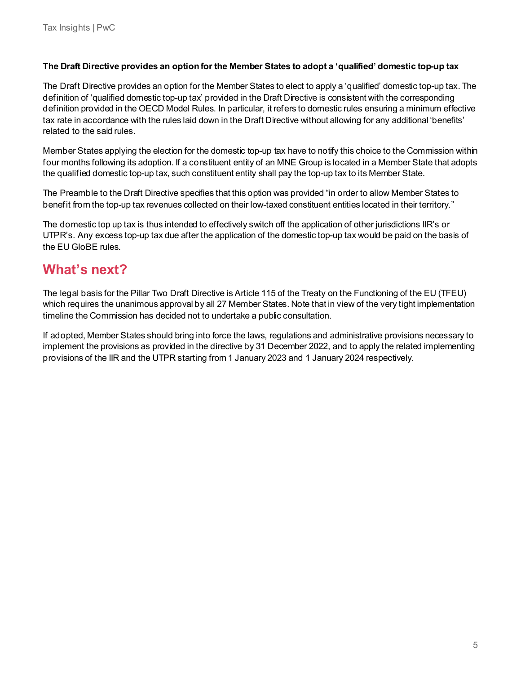#### **The Draft Directive provides an option for the Member States to adopt a 'qualified' domestic top-up tax**

The Draft Directive provides an option for the Member States to elect to apply a 'qualified' domestic top-up tax. The definition of 'qualified domestic top-up tax' provided in the Draft Directive is consistent with the corresponding definition provided in the OECD Model Rules. In particular, it refers to domestic rules ensuring a minimum effective tax rate in accordance with the rules laid down in the Draft Directive without allowing for any additional 'benefits' related to the said rules.

Member States applying the election for the domestic top-up tax have to notify this choice to the Commission within four months following its adoption. If a constituent entity of an MNE Group is located in a Member State that adopts the qualified domestic top-up tax, such constituent entity shall pay the top-up tax to its Member State.

The Preamble to the Draft Directive specifies that this option was provided "in order to allow Member States to benefit from the top-up tax revenues collected on their low-taxed constituent entities located in their territory."

The domestic top up tax is thus intended to effectively switch off the application of other jurisdictions IIR's or UTPR's. Any excess top-up tax due after the application of the domestic top-up tax would be paid on the basis of the EU GloBE rules.

# **What's next?**

The legal basis for the Pillar Two Draft Directive is Article 115 of the Treaty on the Functioning of the EU (TFEU) which requires the unanimous approval by all 27 Member States. Note that in view of the very tight implementation timeline the Commission has decided not to undertake a public consultation.

If adopted, Member States should bring into force the laws, regulations and administrative provisions necessary to implement the provisions as provided in the directive by 31 December 2022, and to apply the related implementing provisions of the IIR and the UTPR starting from 1 January 2023 and 1 January 2024 respectively.